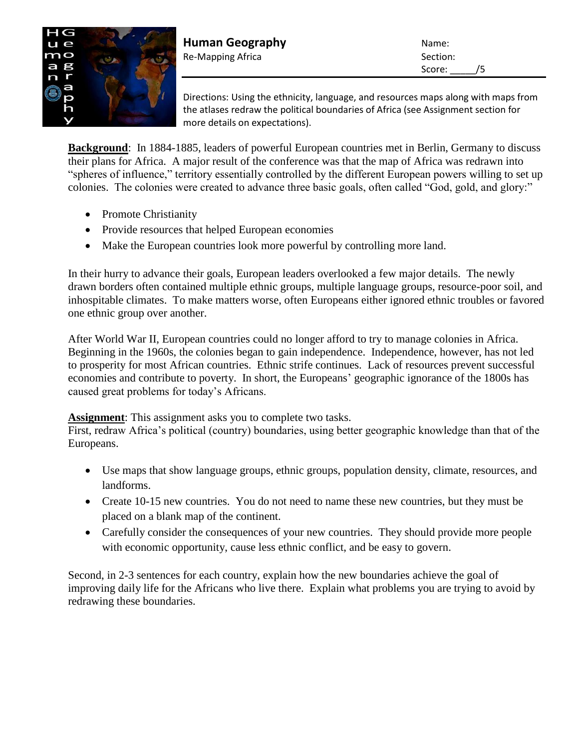

**Human Geography Name:** Name: Re-Mapping Africa Section:

Score: /5

Directions: Using the ethnicity, language, and resources maps along with maps from the atlases redraw the political boundaries of Africa (see Assignment section for more details on expectations).

**Background**: In 1884-1885, leaders of powerful European countries met in Berlin, Germany to discuss their plans for Africa. A major result of the conference was that the map of Africa was redrawn into "spheres of influence," territory essentially controlled by the different European powers willing to set up colonies. The colonies were created to advance three basic goals, often called "God, gold, and glory:"

- Promote Christianity
- Provide resources that helped European economies
- Make the European countries look more powerful by controlling more land.

In their hurry to advance their goals, European leaders overlooked a few major details. The newly drawn borders often contained multiple ethnic groups, multiple language groups, resource-poor soil, and inhospitable climates. To make matters worse, often Europeans either ignored ethnic troubles or favored one ethnic group over another.

After World War II, European countries could no longer afford to try to manage colonies in Africa. Beginning in the 1960s, the colonies began to gain independence. Independence, however, has not led to prosperity for most African countries. Ethnic strife continues. Lack of resources prevent successful economies and contribute to poverty. In short, the Europeans' geographic ignorance of the 1800s has caused great problems for today's Africans.

## **Assignment**: This assignment asks you to complete two tasks.

First, redraw Africa's political (country) boundaries, using better geographic knowledge than that of the Europeans.

- Use maps that show language groups, ethnic groups, population density, climate, resources, and landforms.
- Create 10-15 new countries. You do not need to name these new countries, but they must be placed on a blank map of the continent.
- Carefully consider the consequences of your new countries. They should provide more people with economic opportunity, cause less ethnic conflict, and be easy to govern.

Second, in 2-3 sentences for each country, explain how the new boundaries achieve the goal of improving daily life for the Africans who live there. Explain what problems you are trying to avoid by redrawing these boundaries.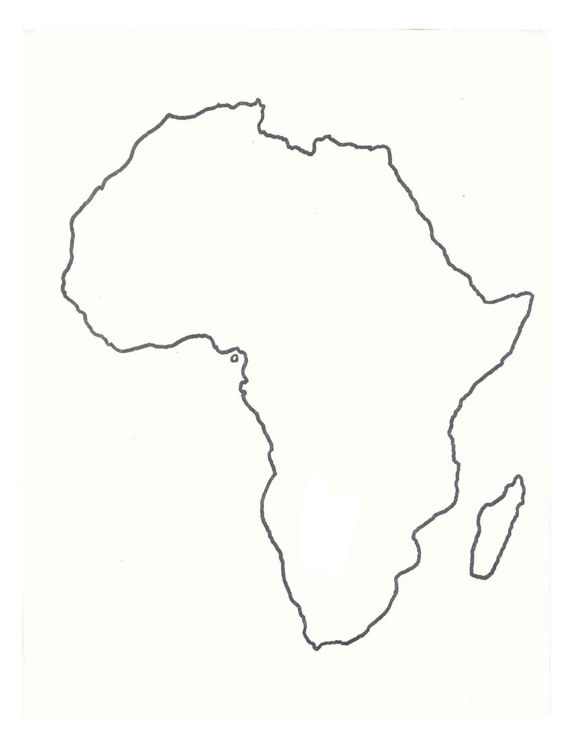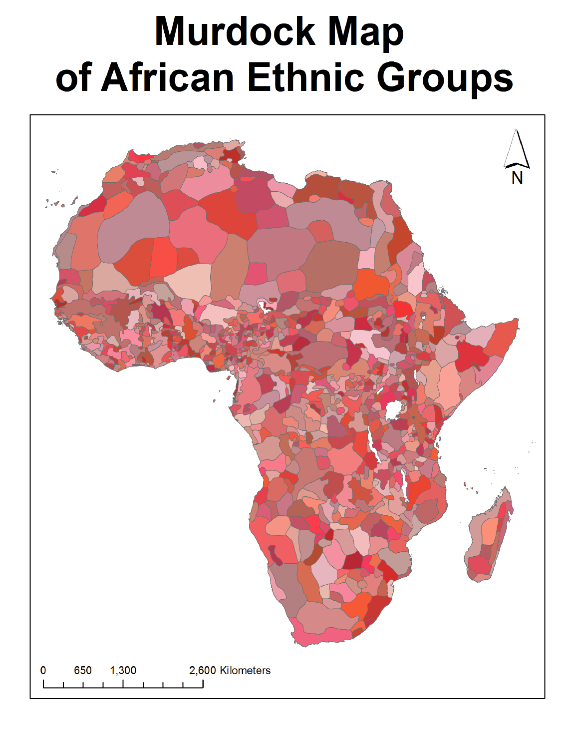## **Murdock Map** of African Ethnic Groups

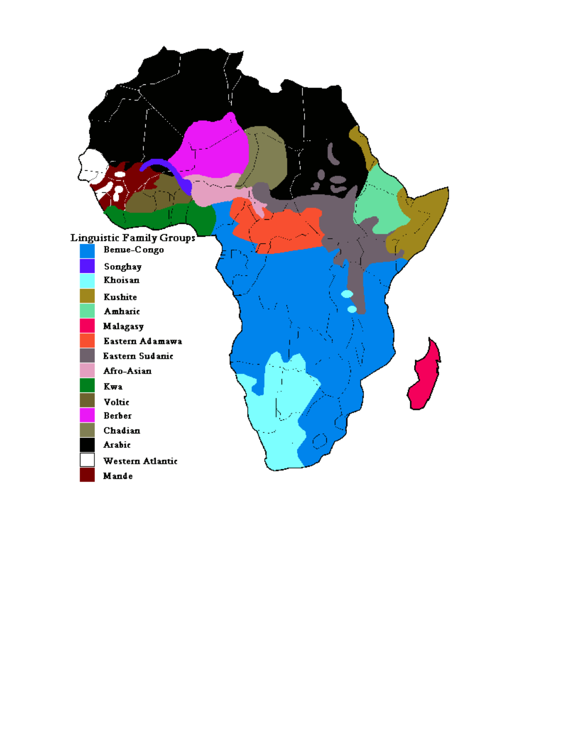